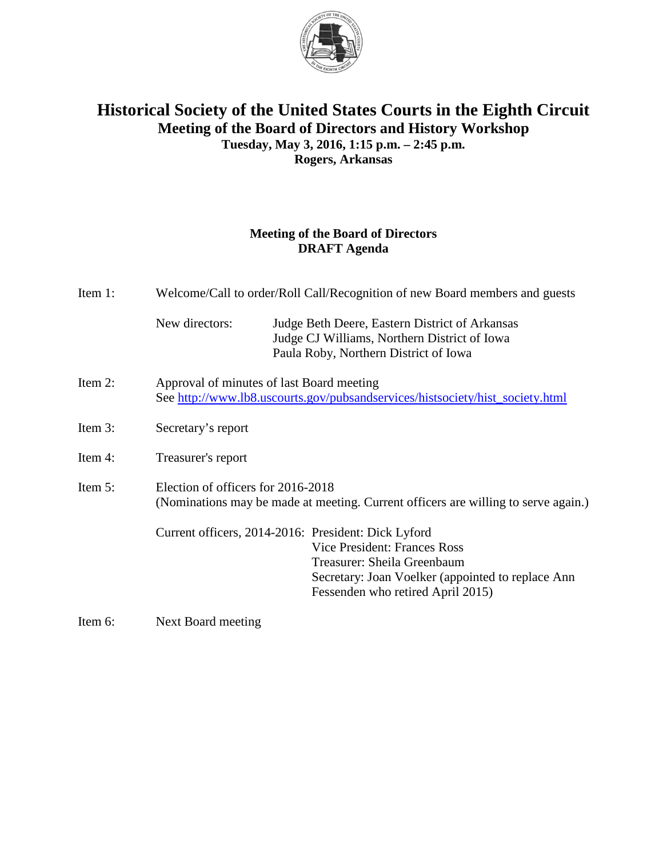

## **Historical Society of the United States Courts in the Eighth Circuit Meeting of the Board of Directors and History Workshop Tuesday, May 3, 2016, 1:15 p.m. – 2:45 p.m. Rogers, Arkansas**

## **Meeting of the Board of Directors DRAFT Agenda**

| Item 1: | Welcome/Call to order/Roll Call/Recognition of new Board members and guests                                                |                                                                                                                                                                                                                     |
|---------|----------------------------------------------------------------------------------------------------------------------------|---------------------------------------------------------------------------------------------------------------------------------------------------------------------------------------------------------------------|
|         | New directors:                                                                                                             | Judge Beth Deere, Eastern District of Arkansas<br>Judge CJ Williams, Northern District of Iowa<br>Paula Roby, Northern District of Iowa                                                                             |
| Item 2: | Approval of minutes of last Board meeting<br>See http://www.lb8.uscourts.gov/pubsandservices/histsociety/hist_society.html |                                                                                                                                                                                                                     |
| Item 3: | Secretary's report                                                                                                         |                                                                                                                                                                                                                     |
| Item 4: | Treasurer's report                                                                                                         |                                                                                                                                                                                                                     |
| Item 5: | Election of officers for 2016-2018<br>(Nominations may be made at meeting. Current officers are willing to serve again.)   |                                                                                                                                                                                                                     |
|         |                                                                                                                            | Current officers, 2014-2016: President: Dick Lyford<br><b>Vice President: Frances Ross</b><br>Treasurer: Sheila Greenbaum<br>Secretary: Joan Voelker (appointed to replace Ann<br>Fessenden who retired April 2015) |
|         |                                                                                                                            |                                                                                                                                                                                                                     |

Item 6: Next Board meeting